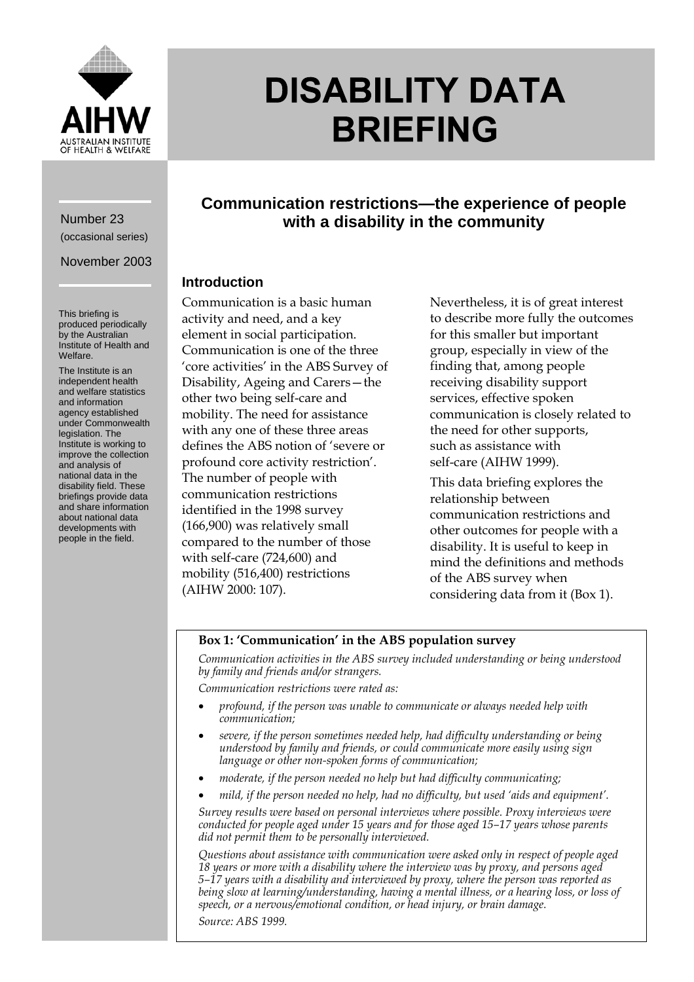

# **DISABILITY DATA BRIEFING**

# Number 23 (occasional series)

November 2003

This briefing is produced periodically by the Australian Institute of Health and Welfare.

The Institute is an independent health and welfare statistics and information agency established under Commonwealth legislation. The Institute is working to improve the collection and analysis of national data in the disability field. These briefings provide data and share information about national data developments with people in the field.

**Communication restrictions—the experience of people with a disability in the community**

# **Introduction**

Communication is a basic human activity and need, and a key element in social participation. Communication is one of the three 'core activities' in the ABS Survey of Disability, Ageing and Carers—the other two being self-care and mobility. The need for assistance with any one of these three areas defines the ABS notion of 'severe or profound core activity restriction'. The number of people with communication restrictions identified in the 1998 survey (166,900) was relatively small compared to the number of those with self-care (724,600) and mobility (516,400) restrictions (AIHW 2000: 107).

Nevertheless, it is of great interest to describe more fully the outcomes for this smaller but important group, especially in view of the finding that, among people receiving disability support services, effective spoken communication is closely related to the need for other supports, such as assistance with self-care (AIHW 1999).

This data briefing explores the relationship between communication restrictions and other outcomes for people with a disability. It is useful to keep in mind the definitions and methods of the ABS survey when considering data from it (Box 1).

### **Box 1: 'Communication' in the ABS population survey**

*Communication activities in the ABS survey included understanding or being understood by family and friends and/or strangers.*

*Communication restrictions were rated as:*

- *profound, if the person was unable to communicate or always needed help with communication;*
- *severe, if the person sometimes needed help, had difficulty understanding or being understood by family and friends, or could communicate more easily using sign language or other non-spoken forms of communication;*
- *moderate, if the person needed no help but had difficulty communicating;*
- *mild, if the person needed no help, had no difficulty, but used 'aids and equipment'.*

*Survey results were based on personal interviews where possible. Proxy interviews were conducted for people aged under 15 years and for those aged 15–17 years whose parents did not permit them to be personally interviewed.*

*Questions about assistance with communication were asked only in respect of people aged 18 years or more with a disability where the interview was by proxy, and persons aged 5–17 years with a disability and interviewed by proxy, where the person was reported as being slow at learning/understanding, having a mental illness, or a hearing loss, or loss of speech, or a nervous/emotional condition, or head injury, or brain damage. Source: ABS 1999.*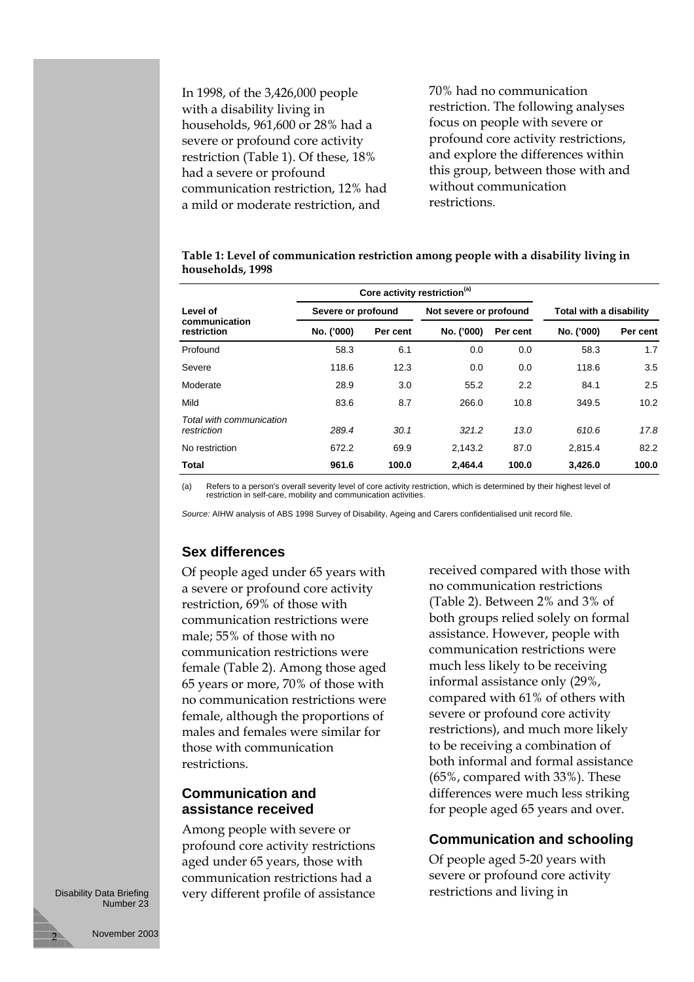In 1998, of the 3,426,000 people with a disability living in households, 961,600 or 28% had a severe or profound core activity restriction (Table 1). Of these, 18% had a severe or profound communication restriction, 12% had a mild or moderate restriction, and

70% had no communication restriction. The following analyses focus on people with severe or profound core activity restrictions, and explore the differences within this group, between those with and without communication restrictions.

**Table 1: Level of communication restriction among people with a disability living in households, 1998**

|                                          | Core activity restriction <sup>(a)</sup> |          |                        |          |                         |          |
|------------------------------------------|------------------------------------------|----------|------------------------|----------|-------------------------|----------|
| Level of<br>communication<br>restriction | Severe or profound                       |          | Not severe or profound |          | Total with a disability |          |
|                                          | No. ('000)                               | Per cent | No. ('000)             | Per cent | No. ('000)              | Per cent |
| Profound                                 | 58.3                                     | 6.1      | 0.0                    | 0.0      | 58.3                    | 1.7      |
| Severe                                   | 118.6                                    | 12.3     | 0.0                    | 0.0      | 118.6                   | 3.5      |
| Moderate                                 | 28.9                                     | 3.0      | 55.2                   | 2.2      | 84.1                    | 2.5      |
| Mild                                     | 83.6                                     | 8.7      | 266.0                  | 10.8     | 349.5                   | 10.2     |
| Total with communication<br>restriction  | 289.4                                    | 30.1     | 321.2                  | 13.0     | 610.6                   | 17.8     |
| No restriction                           | 672.2                                    | 69.9     | 2,143.2                | 87.0     | 2.815.4                 | 82.2     |
| <b>Total</b>                             | 961.6                                    | 100.0    | 2.464.4                | 100.0    | 3.426.0                 | 100.0    |

(a) Refers to a person's overall severity level of core activity restriction, which is determined by their highest level of restriction in self-care, mobility and communication activities.

*Source:* AIHW analysis of ABS 1998 Survey of Disability, Ageing and Carers confidentialised unit record file.

#### **Sex differences**

Of people aged under 65 years with a severe or profound core activity restriction, 69% of those with communication restrictions were male; 55% of those with no communication restrictions were female (Table 2). Among those aged 65 years or more, 70% of those with no communication restrictions were female, although the proportions of males and females were similar for those with communication restrictions.

## **Communication and assistance received**

Among people with severe or profound core activity restrictions aged under 65 years, those with communication restrictions had a very different profile of assistance

received compared with those with no communication restrictions (Table 2). Between 2% and 3% of both groups relied solely on formal assistance. However, people with communication restrictions were much less likely to be receiving informal assistance only (29%, compared with 61% of others with severe or profound core activity restrictions), and much more likely to be receiving a combination of both informal and formal assistance (65%, compared with 33%). These differences were much less striking for people aged 65 years and over.

#### **Communication and schooling**

Of people aged 5-20 years with severe or profound core activity restrictions and living in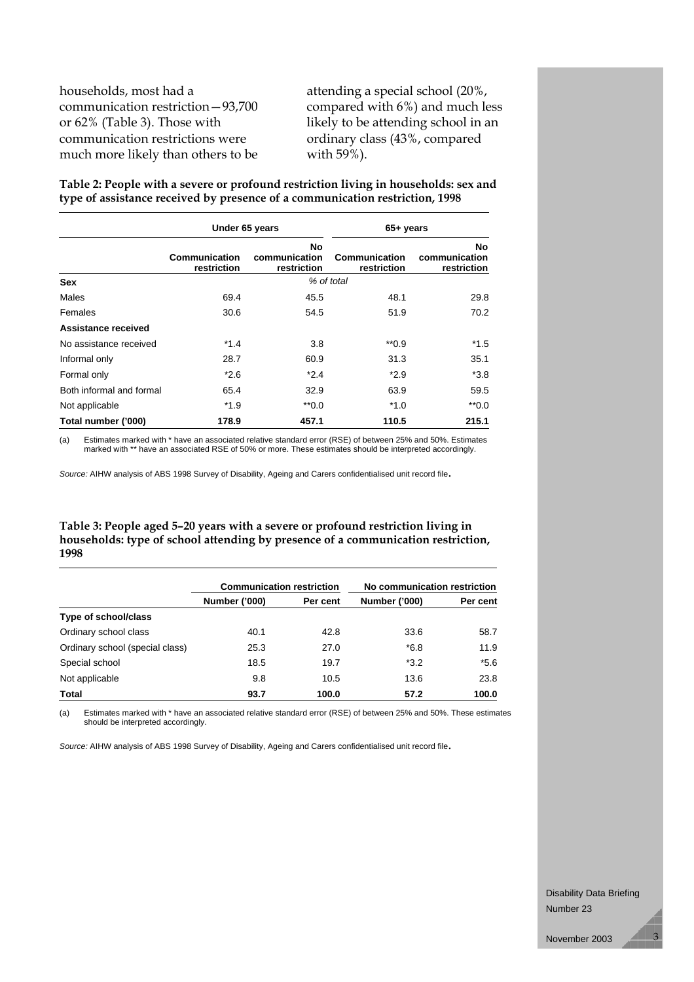households, most had a communication restriction—93,700 or 62% (Table 3). Those with communication restrictions were much more likely than others to be

attending a special school (20%, compared with 6%) and much less likely to be attending school in an ordinary class (43%, compared with 59%).

**Table 2: People with a severe or profound restriction living in households: sex and type of assistance received by presence of a communication restriction, 1998**

|                          | Under 65 years               |                                    | 65+ years                    |                                    |  |
|--------------------------|------------------------------|------------------------------------|------------------------------|------------------------------------|--|
|                          | Communication<br>restriction | No<br>communication<br>restriction | Communication<br>restriction | No<br>communication<br>restriction |  |
| <b>Sex</b>               | % of total                   |                                    |                              |                                    |  |
| Males                    | 69.4                         | 45.5                               | 48.1                         | 29.8                               |  |
| Females                  | 30.6                         | 54.5                               | 51.9                         | 70.2                               |  |
| Assistance received      |                              |                                    |                              |                                    |  |
| No assistance received   | $*1.4$                       | 3.8                                | $*$ 0.9                      | *1.5                               |  |
| Informal only            | 28.7                         | 60.9                               | 31.3                         | 35.1                               |  |
| Formal only              | $*2.6$                       | $*2.4$                             | $*2.9$                       | $*3.8$                             |  |
| Both informal and formal | 65.4                         | 32.9                               | 63.9                         | 59.5                               |  |
| Not applicable           | $*1.9$                       | $*$ 0.0                            | $*1.0$                       | $*0.0$                             |  |
| Total number ('000)      | 178.9                        | 457.1                              | 110.5                        | 215.1                              |  |

(a) Estimates marked with \* have an associated relative standard error (RSE) of between 25% and 50%. Estimates marked with \*\* have an associated RSE of 50% or more. These estimates should be interpreted accordingly.

*Source:* AIHW analysis of ABS 1998 Survey of Disability, Ageing and Carers confidentialised unit record file.

#### **Table 3: People aged 5–20 years with a severe or profound restriction living in households: type of school attending by presence of a communication restriction, 1998**

|                                 | <b>Communication restriction</b> |       | No communication restriction |          |
|---------------------------------|----------------------------------|-------|------------------------------|----------|
|                                 | <b>Number ('000)</b><br>Per cent |       | <b>Number ('000)</b>         | Per cent |
| Type of school/class            |                                  |       |                              |          |
| Ordinary school class           | 40.1                             | 42.8  | 33.6                         | 58.7     |
| Ordinary school (special class) | 25.3                             | 27.0  | $*6.8$                       | 11.9     |
| Special school                  | 18.5                             | 19.7  | $*3.2$                       | $*5.6$   |
| Not applicable                  | 9.8                              | 10.5  | 13.6                         | 23.8     |
| Total                           | 93.7                             | 100.0 | 57.2                         | 100.0    |

(a) Estimates marked with \* have an associated relative standard error (RSE) of between 25% and 50%. These estimates should be interpreted accordingly.

*Source:* AIHW analysis of ABS 1998 Survey of Disability, Ageing and Carers confidentialised unit record file.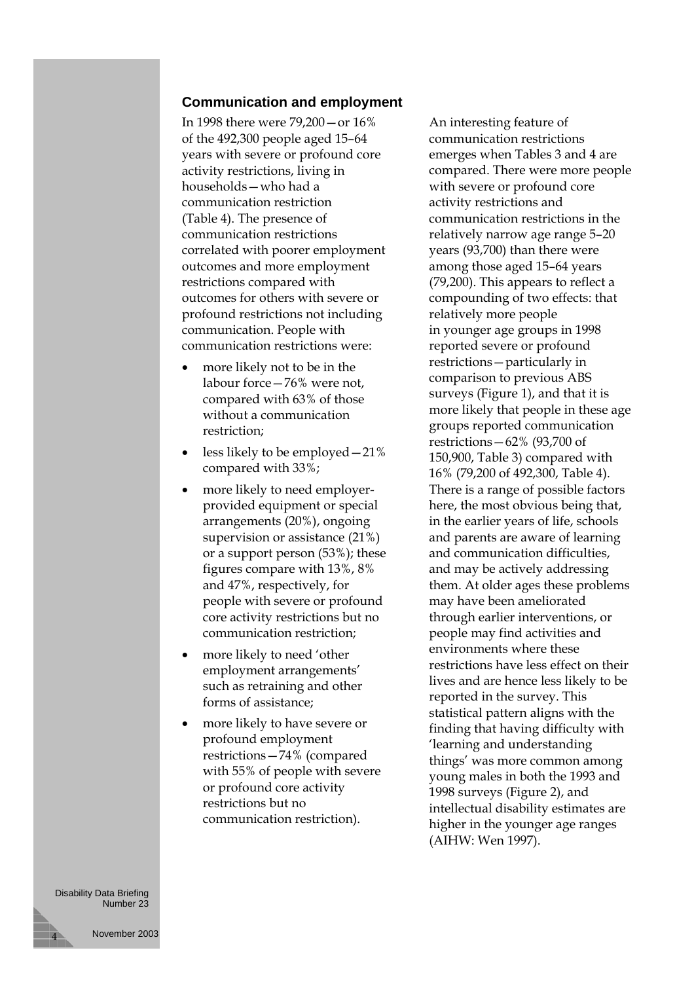#### **Communication and employment**

In 1998 there were 79,200—or 16% of the 492,300 people aged 15–64 years with severe or profound core activity restrictions, living in households—who had a communication restriction (Table 4). The presence of communication restrictions correlated with poorer employment outcomes and more employment restrictions compared with outcomes for others with severe or profound restrictions not including communication. People with communication restrictions were:

- more likely not to be in the labour force—76% were not, compared with 63% of those without a communication restriction;
- less likely to be employed  $-21\%$ compared with 33%;
- more likely to need employerprovided equipment or special arrangements (20%), ongoing supervision or assistance (21%) or a support person (53%); these figures compare with 13%, 8% and 47%, respectively, for people with severe or profound core activity restrictions but no communication restriction;
- more likely to need 'other employment arrangements' such as retraining and other forms of assistance;
- more likely to have severe or profound employment restrictions—74% (compared with 55% of people with severe or profound core activity restrictions but no communication restriction).

An interesting feature of communication restrictions emerges when Tables 3 and 4 are compared. There were more people with severe or profound core activity restrictions and communication restrictions in the relatively narrow age range 5–20 years (93,700) than there were among those aged 15–64 years (79,200). This appears to reflect a compounding of two effects: that relatively more people in younger age groups in 1998 reported severe or profound restrictions—particularly in comparison to previous ABS surveys (Figure 1), and that it is more likely that people in these age groups reported communication restrictions—62% (93,700 of 150,900, Table 3) compared with 16% (79,200 of 492,300, Table 4). There is a range of possible factors here, the most obvious being that, in the earlier years of life, schools and parents are aware of learning and communication difficulties, and may be actively addressing them. At older ages these problems may have been ameliorated through earlier interventions, or people may find activities and environments where these restrictions have less effect on their lives and are hence less likely to be reported in the survey. This statistical pattern aligns with the finding that having difficulty with 'learning and understanding things' was more common among young males in both the 1993 and 1998 surveys (Figure 2), and intellectual disability estimates are higher in the younger age ranges (AIHW: Wen 1997).

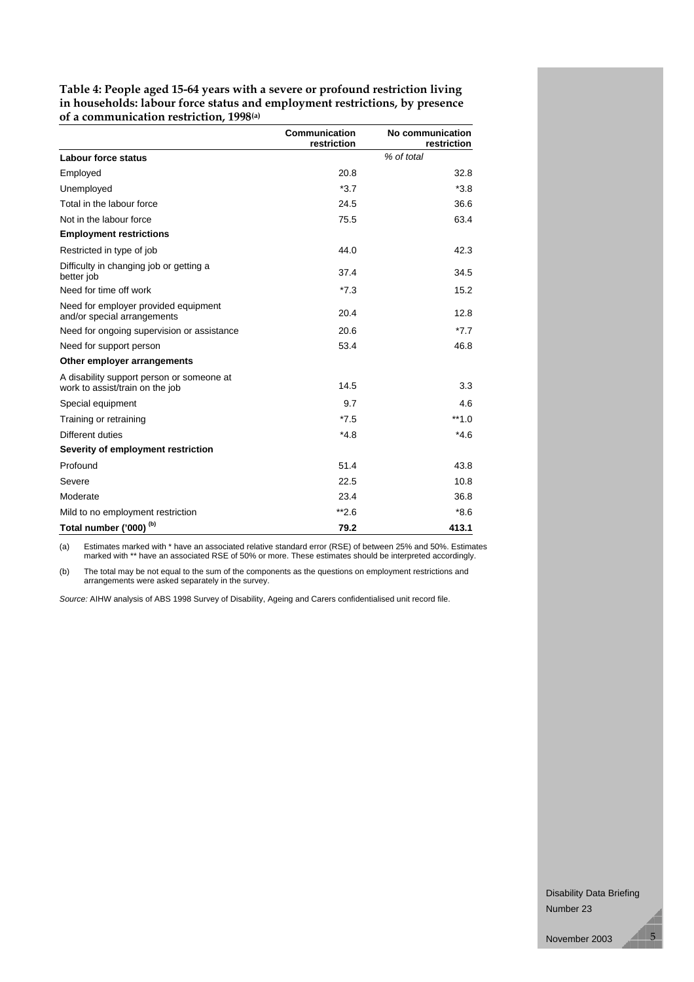**Table 4: People aged 15-64 years with a severe or profound restriction living in households: labour force status and employment restrictions, by presence of a communication restriction, 1998(a)**

|                                                                              | Communication<br>restriction | No communication<br>restriction |
|------------------------------------------------------------------------------|------------------------------|---------------------------------|
| Labour force status                                                          |                              | % of total                      |
| Employed                                                                     | 20.8                         | 32.8                            |
| Unemployed                                                                   | $*3.7$                       | $*3.8$                          |
| Total in the labour force                                                    | 24.5                         | 36.6                            |
| Not in the labour force                                                      | 75.5                         | 63.4                            |
| <b>Employment restrictions</b>                                               |                              |                                 |
| Restricted in type of job                                                    | 44.0                         | 42.3                            |
| Difficulty in changing job or getting a<br>better job                        | 37.4                         | 34.5                            |
| Need for time off work                                                       | $*7.3$                       | 15.2                            |
| Need for employer provided equipment<br>and/or special arrangements          | 20.4                         | 12.8                            |
| Need for ongoing supervision or assistance                                   | 20.6                         | $*7.7$                          |
| Need for support person                                                      | 53.4                         | 46.8                            |
| Other employer arrangements                                                  |                              |                                 |
| A disability support person or someone at<br>work to assist/train on the job | 14.5                         | 3.3                             |
| Special equipment                                                            | 9.7                          | 4.6                             |
| Training or retraining                                                       | $*7.5$                       | $**1.0$                         |
| Different duties                                                             | $*4.8$                       | $*4.6$                          |
| Severity of employment restriction                                           |                              |                                 |
| Profound                                                                     | 51.4                         | 43.8                            |
| Severe                                                                       | 22.5                         | 10.8                            |
| Moderate                                                                     | 23.4                         | 36.8                            |
| Mild to no employment restriction                                            | $*2.6$                       | $*8.6$                          |
| Total number ('000) <sup>(b)</sup>                                           | 79.2                         | 413.1                           |

(a) Estimates marked with \* have an associated relative standard error (RSE) of between 25% and 50%. Estimates marked with \*\* have an associated RSE of 50% or more. These estimates should be interpreted accordingly.

(b) The total may be not equal to the sum of the components as the questions on employment restrictions and arrangements were asked separately in the survey.

*Source:* AIHW analysis of ABS 1998 Survey of Disability, Ageing and Carers confidentialised unit record file.

Disability Data Briefing Number 23

November 2003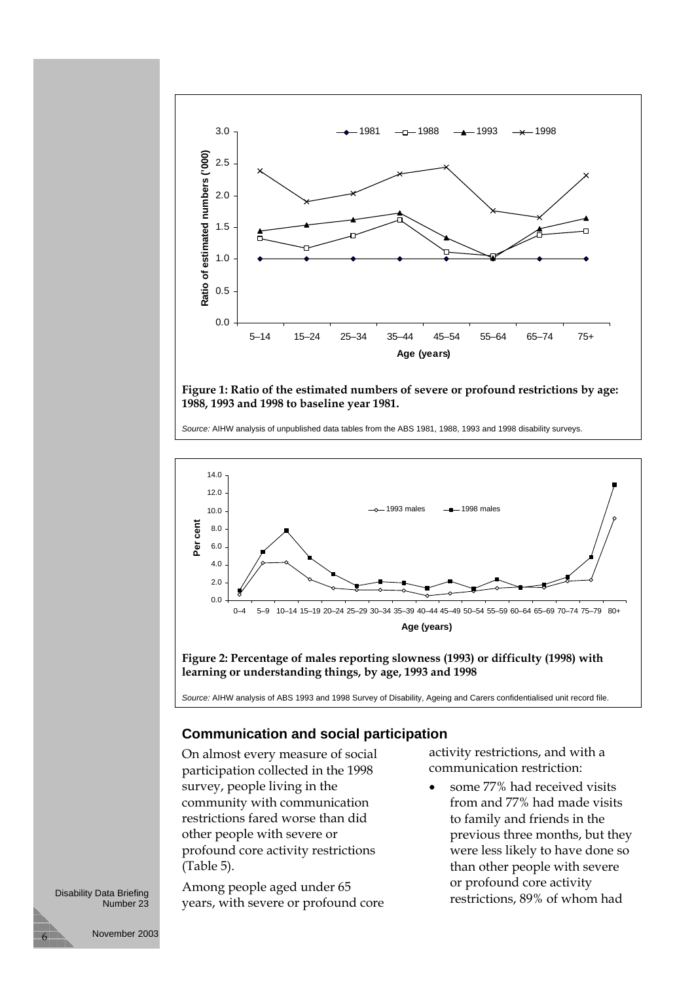

**Figure 1: Ratio of the estimated numbers of severe or profound restrictions by age: 1988, 1993 and 1998 to baseline year 1981.**

*Source:* AIHW analysis of unpublished data tables from the ABS 1981, 1988, 1993 and 1998 disability surveys.



*Source:* AIHW analysis of ABS 1993 and 1998 Survey of Disability, Ageing and Carers confidentialised unit record file.

#### **Communication and social participation**

On almost every measure of social participation collected in the 1998 survey, people living in the community with communication restrictions fared worse than did other people with severe or profound core activity restrictions (Table 5).

Among people aged under 65 years, with severe or profound core activity restrictions, and with a communication restriction:

 some 77% had received visits from and 77% had made visits to family and friends in the previous three months, but they were less likely to have done so than other people with severe or profound core activity restrictions, 89% of whom had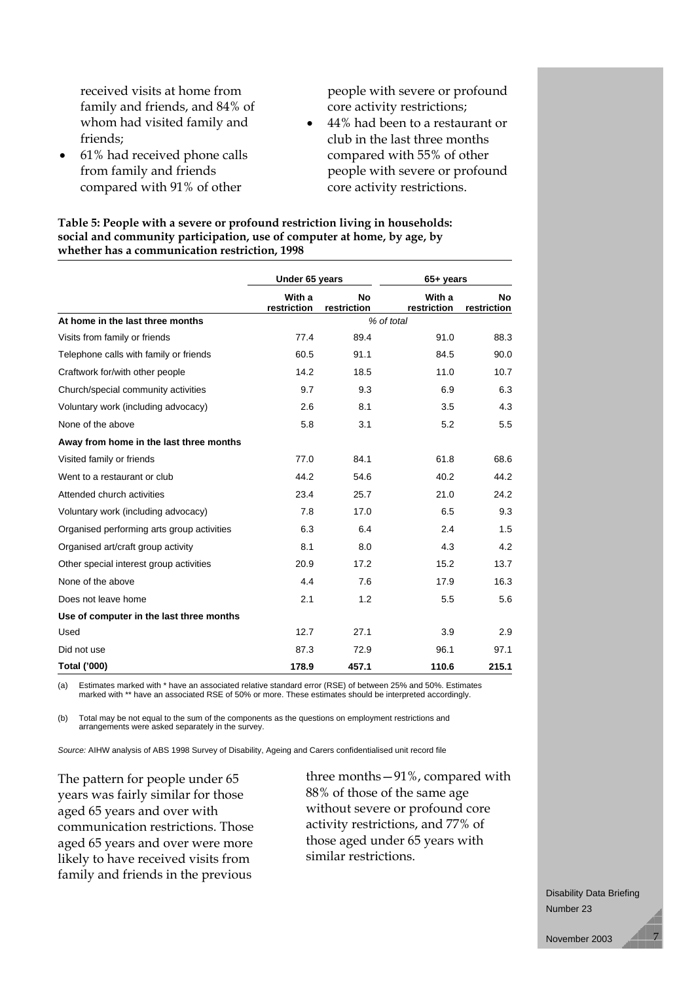received visits at home from family and friends, and 84% of whom had visited family and friends;

 61% had received phone calls from family and friends compared with 91% of other

people with severe or profound core activity restrictions;

 44% had been to a restaurant or club in the last three months compared with 55% of other people with severe or profound core activity restrictions.

**Table 5: People with a severe or profound restriction living in households: social and community participation, use of computer at home, by age, by whether has a communication restriction, 1998**

|                                            | Under 65 years        |                          | 65+ years             |                          |  |
|--------------------------------------------|-----------------------|--------------------------|-----------------------|--------------------------|--|
|                                            | With a<br>restriction | <b>No</b><br>restriction | With a<br>restriction | <b>No</b><br>restriction |  |
| At home in the last three months           | % of total            |                          |                       |                          |  |
| Visits from family or friends              | 77.4                  | 89.4                     | 91.0                  | 88.3                     |  |
| Telephone calls with family or friends     | 60.5                  | 91.1                     | 84.5                  | 90.0                     |  |
| Craftwork for/with other people            | 14.2                  | 18.5                     | 11.0                  | 10.7                     |  |
| Church/special community activities        | 9.7                   | 9.3                      | 6.9                   | 6.3                      |  |
| Voluntary work (including advocacy)        | 2.6                   | 8.1                      | 3.5                   | 4.3                      |  |
| None of the above                          | 5.8                   | 3.1                      | 5.2                   | 5.5                      |  |
| Away from home in the last three months    |                       |                          |                       |                          |  |
| Visited family or friends                  | 77.0                  | 84.1                     | 61.8                  | 68.6                     |  |
| Went to a restaurant or club               | 44.2                  | 54.6                     | 40.2                  | 44.2                     |  |
| Attended church activities                 | 23.4                  | 25.7                     | 21.0                  | 24.2                     |  |
| Voluntary work (including advocacy)        | 7.8                   | 17.0                     | 6.5                   | 9.3                      |  |
| Organised performing arts group activities | 6.3                   | 6.4                      | 2.4                   | 1.5                      |  |
| Organised art/craft group activity         | 8.1                   | 8.0                      | 4.3                   | 4.2                      |  |
| Other special interest group activities    | 20.9                  | 17.2                     | 15.2                  | 13.7                     |  |
| None of the above                          | 4.4                   | 7.6                      | 17.9                  | 16.3                     |  |
| Does not leave home                        | 2.1                   | 1.2                      | 5.5                   | 5.6                      |  |
| Use of computer in the last three months   |                       |                          |                       |                          |  |
| Used                                       | 12.7                  | 27.1                     | 3.9                   | 2.9                      |  |
| Did not use                                | 87.3                  | 72.9                     | 96.1                  | 97.1                     |  |
| Total ('000)                               | 178.9                 | 457.1                    | 110.6                 | 215.1                    |  |

(a) Estimates marked with \* have an associated relative standard error (RSE) of between 25% and 50%. Estimates marked with \*\* have an associated RSE of 50% or more. These estimates should be interpreted accordingly.

(b) Total may be not equal to the sum of the components as the questions on employment restrictions and arrangements were asked separately in the survey.

*Source:* AIHW analysis of ABS 1998 Survey of Disability, Ageing and Carers confidentialised unit record file

The pattern for people under 65 years was fairly similar for those aged 65 years and over with communication restrictions. Those aged 65 years and over were more likely to have received visits from family and friends in the previous

three months—91%, compared with 88% of those of the same age without severe or profound core activity restrictions, and 77% of those aged under 65 years with similar restrictions.